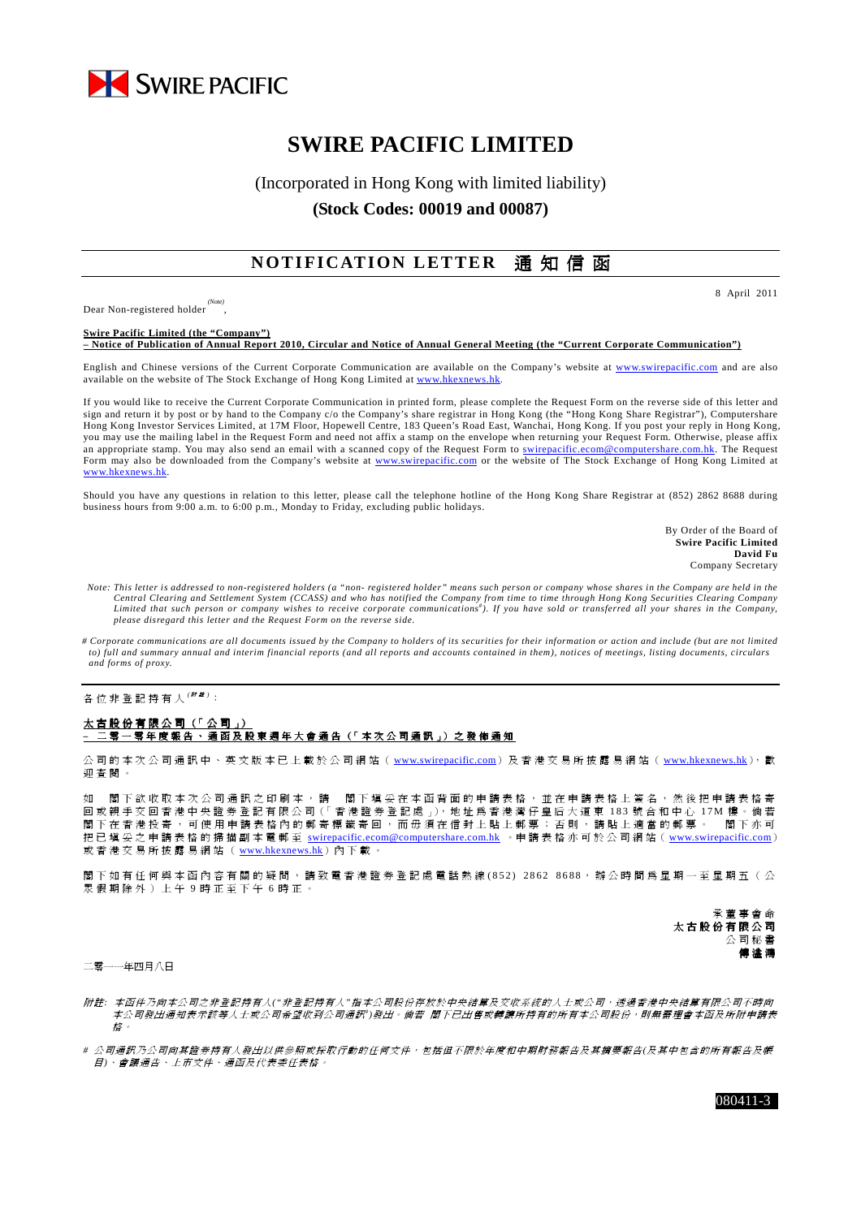

# **SWIRE PACIFIC LIMITED**

## (Incorporated in Hong Kong with limited liability) **(Stock Codes: 00019 and 00087)**

## **NOTIFICATION LETTER 通知信函**

Dear Non-registered holder *(Note)* , 8 April 2011

**Swire Pacific Limited (the "Company") – Notice of Publication of Annual Report 2010, Circular and Notice of Annual General Meeting (the "Current Corporate Communication")**

English and Chinese versions of the Current Corporate Communication are available on the Company's website at www.swirepacific.com and are also available on the website of The Stock Exchange of Hong Kong Limited at www.hkexn

If you would like to receive the Current Corporate Communication in printed form, please complete the Request Form on the reverse side of this letter and sign and return it by post or by hand to the Company c/o the Company's share registrar in Hong Kong (the "Hong Kong Share Registrar"), Computershare Hong Kong Investor Services Limited, at 17M Floor, Hopewell Centre, 183 Queen's Road East, Wanchai, Hong Kong. If you post your reply in Hong Kong, you may use the mailing label in the Request Form and need not affix a stamp on the envelope when returning your Request Form. Otherwise, please affix an appropriate stamp. You may also send an email with a scanned copy of the Request Form to swirepacific.ecom@computershare.com.hk. The Request Form may also be downloaded from the Company's website at www.swirepacific.com or the website of The Stock Exchange of Hong Kong Limited at www.hkexnews.hk.

Should you have any questions in relation to this letter, please call the telephone hotline of the Hong Kong Share Registrar at (852) 2862 8688 during business hours from 9:00 a.m. to 6:00 p.m., Monday to Friday, excluding public holidays.

> By Order of the Board of **Swire Pacific Limited David Fu** Company Secretary

- *Note: This letter is addressed to non-registered holders (a "non- registered holder" means such person or company whose shares in the Company are held in the*  Central Clearing and Settlement System (CCASS) and who has notified the Company from time to time through Hong Kong Securities Clearing Company<br>Limited that such person or company wishes to receive corporate communications *please disregard this letter and the Request Form on the reverse side.*
- *# Corporate communications are all documents issued by the Company to holders of its securities for their information or action and include (but are not limited to) full and summary annual and interim financial reports (and all reports and accounts contained in them), notices of meetings, listing documents, circulars and forms of proxy.*

各位非登記持有人<sup>(##)</sup>:

#### 太 古 股 份 有 限 公 司 (「 公 司 」) <u>二 零 一 零 年 度 報 告 、 通 函 及 股 東 週 年 大 會 通 告(「</u> 本 次 公 司 通 訳 」) 之 發 佈 通 知

公 司 的 本 次 公 司 通 訊 中 、 英 文 版 本 已 上 載 於 公 司 網 站 ( www.swirepacific.com) 及 香 港 交 易 所 披 露 易 網 站 ( www.hkexnews.hk), 歡 迎 查 閱 。

如 閣 下 欲 收 取 本 次 公 司 通 訊 之 印 刷 本 , 請 閣 下 填 妥 在 本 函 背 面 的 申 請 表 格 , 並 在 申 請 表 格 上 簽 名 , 然 後 把 申 請 表 格 寄 回 或 親 手 交 回 香 港 中 央 證 券 登 記 有 限 公 司 (「 香 港 證 券 登 記 處 」),地 址 爲 香 港 灣 仔 皇 后 大 道 東 183 號 合 和 中 心 17M 樓 。 倘 若 閣下 在 香 港 投 寄 , 可 使 用 申 請 表 格 內 的 郵 寄 標 籤 寄 回 , 而 毋 須 在 信 封 上 貼 上 郵 票 ; 否 則 , 請 貼 上 適 當 的 郵 票 。 閣 下 亦 可 把 已 填 妥 之 申 請 表 格 的 掃 描 副 本 電 郵 至 swirepacific.ecom@computershare.com.hk 。 申 請 表 格 亦 可 於 公 司 網 站 ( www.swirepacific.com) 或香港交易所披露易網站(www.hkexnews.hk)內下載。

閣 下 如 有 任 何 與 本 函 內 容 有 關 的 疑 問 , 請 致 電 香 港 證 券 登 記 處 電 話 熱 線 ( 8 5 2 ) 2 8 6 2 8 6 8 8, 辦 公 時 間 為 星 期 一 至 星 期 五 ( 公 眾 假 期 除 外 ) 上 午 9 時 正 至 下 午 6 時 正 。

> 承 董 事 會 命 太古股份有限公司 公 司 秘 書 傅 溢 鴻

二零一一年四月八日

- 附註: 本函件乃向本公司之非登記持有人("非登記持有人"指本公司股份存放於中央結算及交收系統的人士或公司, 透過香港中央結算有限公司不時向 本公司發出通知表示該等人士或公司希望收到公司通訊")發出。倘若 閣下已出售或轉讓所持有的所有本公司股份,則無需理會本函及所附申請表 格 。
- # 公司通訊乃公司向其證券持有人發出以供參照或採取行動的任何文件,包括但不限於年度和中期財務報告及其摘要報告(及其中包含的所有報告及帳 目*)*、 會 議 通告、 上 市 文 件、 通 函 及 代 表 委 任表 格。

080411-3